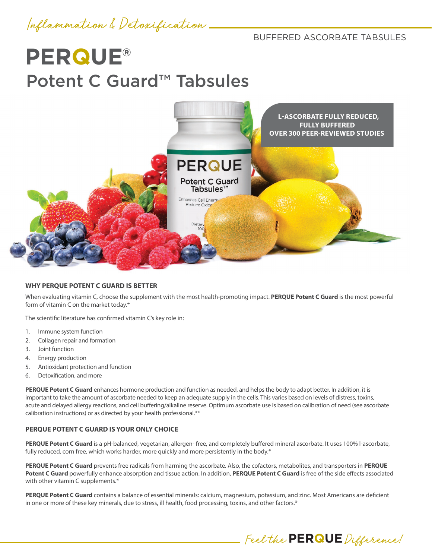Inflammation & Detoxification

BUFFERED ASCORBATE TABSULES

# **PERQUE®** Potent C Guard<sup>™</sup> Tabsules



#### **WHY PERQUE POTENT C GUARD IS BETTER**

When evaluating vitamin C, choose the supplement with the most health-promoting impact. **PERQUE Potent C Guard** is the most powerful form of vitamin C on the market today.\*

The scientific literature has confirmed vitamin C's key role in:

- 1. Immune system function
- 2. Collagen repair and formation
- 3. Joint function
- 4. Energy production
- 5. Antioxidant protection and function
- 6. Detoxification, and more

**PERQUE Potent C Guard** enhances hormone production and function as needed, and helps the body to adapt better. In addition, it is important to take the amount of ascorbate needed to keep an adequate supply in the cells. This varies based on levels of distress, toxins, acute and delayed allergy reactions, and cell buffering/alkaline reserve. Optimum ascorbate use is based on calibration of need (see ascorbate calibration instructions) or as directed by your health professional.\*\*

#### **PERQUE POTENT C GUARD IS YOUR ONLY CHOICE**

PERQUE Potent C Guard is a pH-balanced, vegetarian, allergen- free, and completely buffered mineral ascorbate. It uses 100% l-ascorbate, fully reduced, corn free, which works harder, more quickly and more persistently in the body.\*

**PERQUE Potent C Guard** prevents free radicals from harming the ascorbate. Also, the cofactors, metabolites, and transporters in **PERQUE Potent C Guard** powerfully enhance absorption and tissue action. In addition, **PERQUE Potent C Guard** is free of the side effects associated with other vitamin C supplements.\*

**PERQUE Potent C Guard** contains a balance of essential minerals: calcium, magnesium, potassium, and zinc. Most Americans are deficient in one or more of these key minerals, due to stress, ill health, food processing, toxins, and other factors.\*